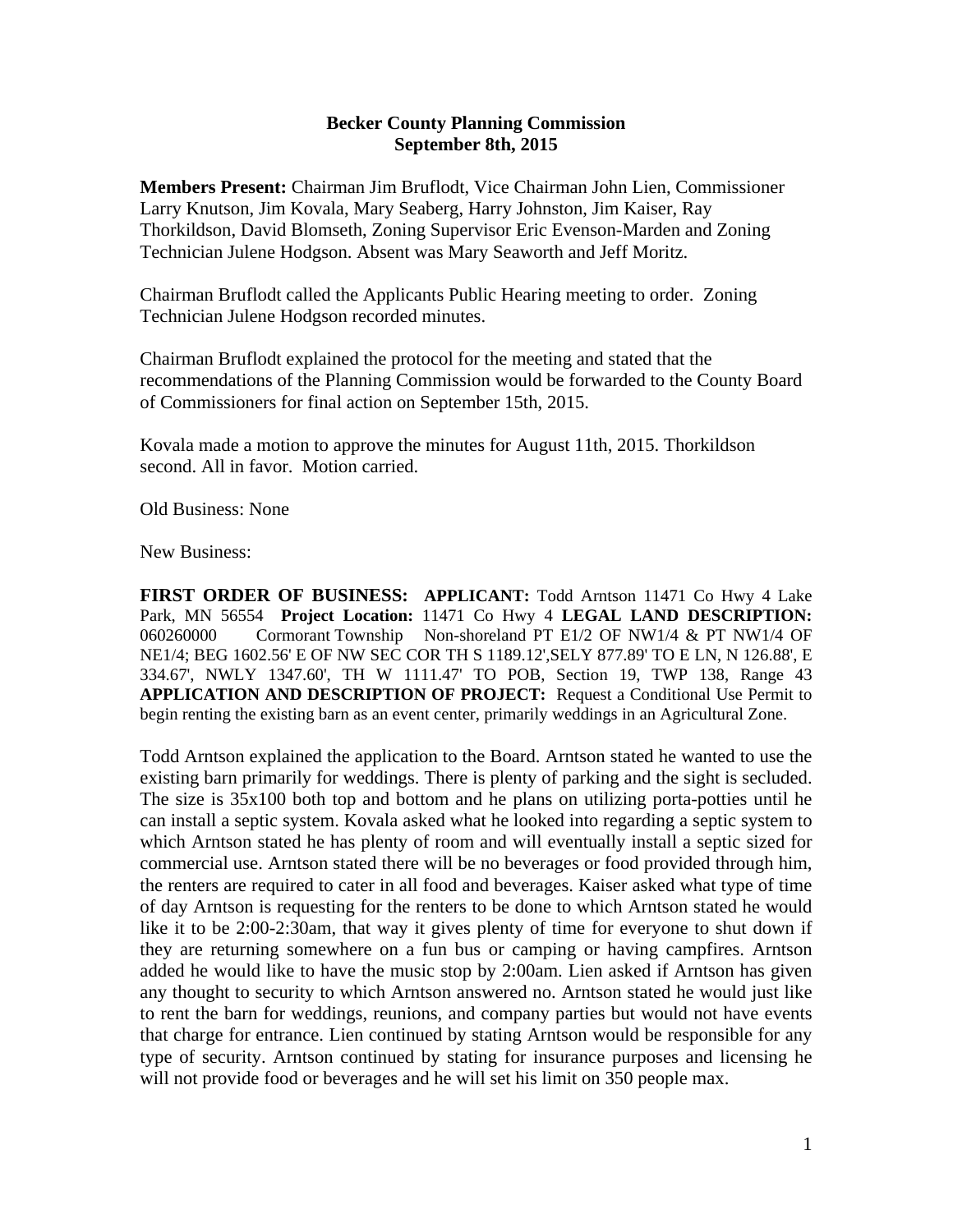## **Becker County Planning Commission September 8th, 2015**

**Members Present:** Chairman Jim Bruflodt, Vice Chairman John Lien, Commissioner Larry Knutson, Jim Kovala, Mary Seaberg, Harry Johnston, Jim Kaiser, Ray Thorkildson, David Blomseth, Zoning Supervisor Eric Evenson-Marden and Zoning Technician Julene Hodgson. Absent was Mary Seaworth and Jeff Moritz.

Chairman Bruflodt called the Applicants Public Hearing meeting to order. Zoning Technician Julene Hodgson recorded minutes.

Chairman Bruflodt explained the protocol for the meeting and stated that the recommendations of the Planning Commission would be forwarded to the County Board of Commissioners for final action on September 15th, 2015.

Kovala made a motion to approve the minutes for August 11th, 2015. Thorkildson second. All in favor. Motion carried.

Old Business: None

New Business:

**FIRST ORDER OF BUSINESS: APPLICANT:** Todd Arntson 11471 Co Hwy 4 Lake Park, MN 56554 **Project Location:** 11471 Co Hwy 4 **LEGAL LAND DESCRIPTION:** 060260000 Cormorant Township Non-shoreland PT E1/2 OF NW1/4 & PT NW1/4 OF NE1/4; BEG 1602.56' E OF NW SEC COR TH S 1189.12',SELY 877.89' TO E LN, N 126.88', E 334.67', NWLY 1347.60', TH W 1111.47' TO POB, Section 19, TWP 138, Range 43 **APPLICATION AND DESCRIPTION OF PROJECT:** Request a Conditional Use Permit to begin renting the existing barn as an event center, primarily weddings in an Agricultural Zone.

Todd Arntson explained the application to the Board. Arntson stated he wanted to use the existing barn primarily for weddings. There is plenty of parking and the sight is secluded. The size is 35x100 both top and bottom and he plans on utilizing porta-potties until he can install a septic system. Kovala asked what he looked into regarding a septic system to which Arntson stated he has plenty of room and will eventually install a septic sized for commercial use. Arntson stated there will be no beverages or food provided through him, the renters are required to cater in all food and beverages. Kaiser asked what type of time of day Arntson is requesting for the renters to be done to which Arntson stated he would like it to be 2:00-2:30am, that way it gives plenty of time for everyone to shut down if they are returning somewhere on a fun bus or camping or having campfires. Arntson added he would like to have the music stop by 2:00am. Lien asked if Arntson has given any thought to security to which Arntson answered no. Arntson stated he would just like to rent the barn for weddings, reunions, and company parties but would not have events that charge for entrance. Lien continued by stating Arntson would be responsible for any type of security. Arntson continued by stating for insurance purposes and licensing he will not provide food or beverages and he will set his limit on 350 people max.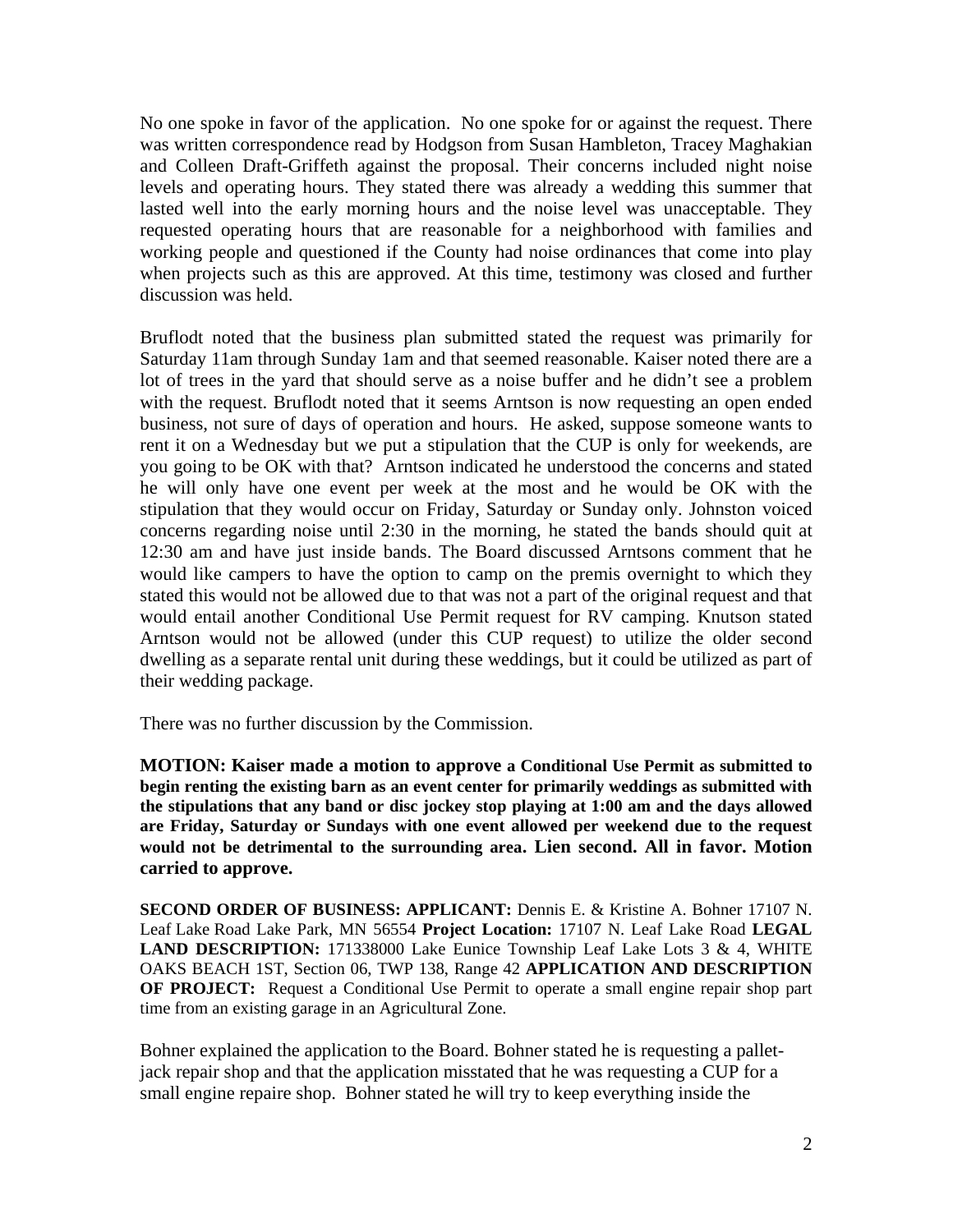No one spoke in favor of the application. No one spoke for or against the request. There was written correspondence read by Hodgson from Susan Hambleton, Tracey Maghakian and Colleen Draft-Griffeth against the proposal. Their concerns included night noise levels and operating hours. They stated there was already a wedding this summer that lasted well into the early morning hours and the noise level was unacceptable. They requested operating hours that are reasonable for a neighborhood with families and working people and questioned if the County had noise ordinances that come into play when projects such as this are approved. At this time, testimony was closed and further discussion was held.

Bruflodt noted that the business plan submitted stated the request was primarily for Saturday 11am through Sunday 1am and that seemed reasonable. Kaiser noted there are a lot of trees in the yard that should serve as a noise buffer and he didn't see a problem with the request. Bruflodt noted that it seems Arntson is now requesting an open ended business, not sure of days of operation and hours. He asked, suppose someone wants to rent it on a Wednesday but we put a stipulation that the CUP is only for weekends, are you going to be OK with that? Arntson indicated he understood the concerns and stated he will only have one event per week at the most and he would be OK with the stipulation that they would occur on Friday, Saturday or Sunday only. Johnston voiced concerns regarding noise until 2:30 in the morning, he stated the bands should quit at 12:30 am and have just inside bands. The Board discussed Arntsons comment that he would like campers to have the option to camp on the premis overnight to which they stated this would not be allowed due to that was not a part of the original request and that would entail another Conditional Use Permit request for RV camping. Knutson stated Arntson would not be allowed (under this CUP request) to utilize the older second dwelling as a separate rental unit during these weddings, but it could be utilized as part of their wedding package.

There was no further discussion by the Commission.

**MOTION: Kaiser made a motion to approve a Conditional Use Permit as submitted to begin renting the existing barn as an event center for primarily weddings as submitted with the stipulations that any band or disc jockey stop playing at 1:00 am and the days allowed are Friday, Saturday or Sundays with one event allowed per weekend due to the request would not be detrimental to the surrounding area. Lien second. All in favor. Motion carried to approve.** 

**SECOND ORDER OF BUSINESS: APPLICANT:** Dennis E. & Kristine A. Bohner 17107 N. Leaf Lake Road Lake Park, MN 56554 **Project Location:** 17107 N. Leaf Lake Road **LEGAL LAND DESCRIPTION:** 171338000 Lake Eunice Township Leaf Lake Lots 3 & 4, WHITE OAKS BEACH 1ST, Section 06, TWP 138, Range 42 **APPLICATION AND DESCRIPTION OF PROJECT:** Request a Conditional Use Permit to operate a small engine repair shop part time from an existing garage in an Agricultural Zone.

Bohner explained the application to the Board. Bohner stated he is requesting a palletjack repair shop and that the application misstated that he was requesting a CUP for a small engine repaire shop. Bohner stated he will try to keep everything inside the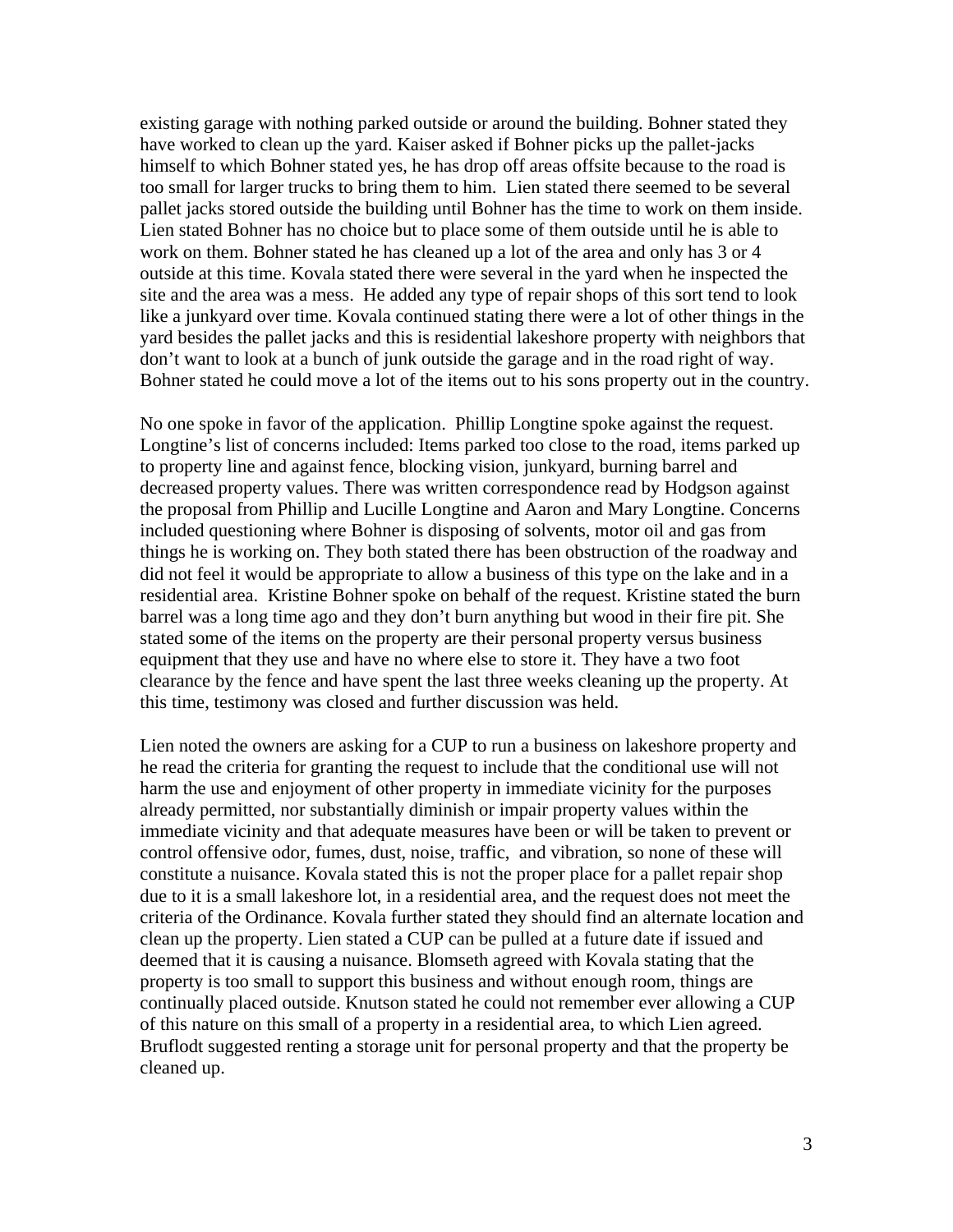existing garage with nothing parked outside or around the building. Bohner stated they have worked to clean up the yard. Kaiser asked if Bohner picks up the pallet-jacks himself to which Bohner stated yes, he has drop off areas offsite because to the road is too small for larger trucks to bring them to him. Lien stated there seemed to be several pallet jacks stored outside the building until Bohner has the time to work on them inside. Lien stated Bohner has no choice but to place some of them outside until he is able to work on them. Bohner stated he has cleaned up a lot of the area and only has 3 or 4 outside at this time. Kovala stated there were several in the yard when he inspected the site and the area was a mess. He added any type of repair shops of this sort tend to look like a junkyard over time. Kovala continued stating there were a lot of other things in the yard besides the pallet jacks and this is residential lakeshore property with neighbors that don't want to look at a bunch of junk outside the garage and in the road right of way. Bohner stated he could move a lot of the items out to his sons property out in the country.

No one spoke in favor of the application. Phillip Longtine spoke against the request. Longtine's list of concerns included: Items parked too close to the road, items parked up to property line and against fence, blocking vision, junkyard, burning barrel and decreased property values. There was written correspondence read by Hodgson against the proposal from Phillip and Lucille Longtine and Aaron and Mary Longtine. Concerns included questioning where Bohner is disposing of solvents, motor oil and gas from things he is working on. They both stated there has been obstruction of the roadway and did not feel it would be appropriate to allow a business of this type on the lake and in a residential area. Kristine Bohner spoke on behalf of the request. Kristine stated the burn barrel was a long time ago and they don't burn anything but wood in their fire pit. She stated some of the items on the property are their personal property versus business equipment that they use and have no where else to store it. They have a two foot clearance by the fence and have spent the last three weeks cleaning up the property. At this time, testimony was closed and further discussion was held.

Lien noted the owners are asking for a CUP to run a business on lakeshore property and he read the criteria for granting the request to include that the conditional use will not harm the use and enjoyment of other property in immediate vicinity for the purposes already permitted, nor substantially diminish or impair property values within the immediate vicinity and that adequate measures have been or will be taken to prevent or control offensive odor, fumes, dust, noise, traffic, and vibration, so none of these will constitute a nuisance. Kovala stated this is not the proper place for a pallet repair shop due to it is a small lakeshore lot, in a residential area, and the request does not meet the criteria of the Ordinance. Kovala further stated they should find an alternate location and clean up the property. Lien stated a CUP can be pulled at a future date if issued and deemed that it is causing a nuisance. Blomseth agreed with Kovala stating that the property is too small to support this business and without enough room, things are continually placed outside. Knutson stated he could not remember ever allowing a CUP of this nature on this small of a property in a residential area, to which Lien agreed. Bruflodt suggested renting a storage unit for personal property and that the property be cleaned up.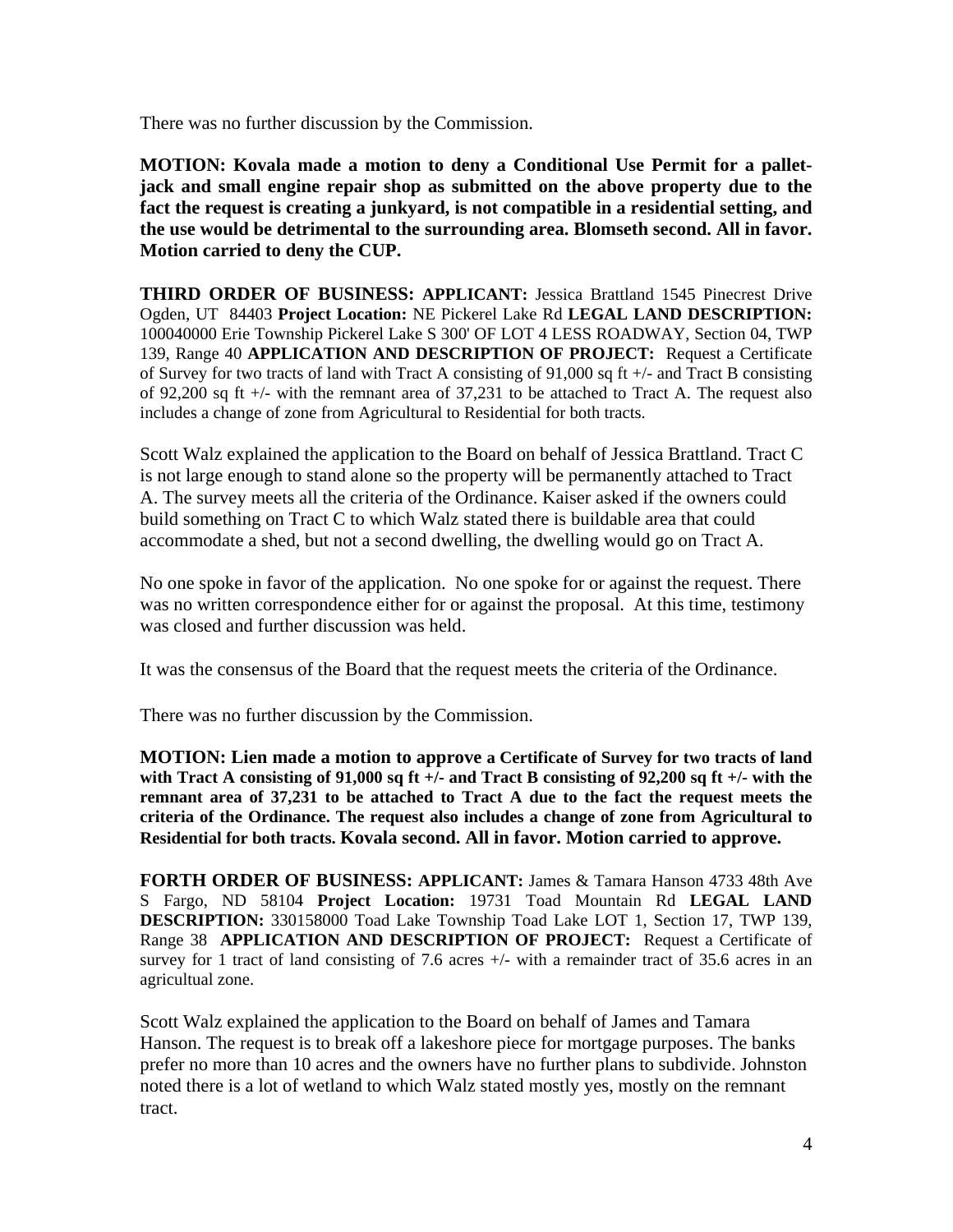There was no further discussion by the Commission.

**MOTION: Kovala made a motion to deny a Conditional Use Permit for a palletjack and small engine repair shop as submitted on the above property due to the fact the request is creating a junkyard, is not compatible in a residential setting, and the use would be detrimental to the surrounding area. Blomseth second. All in favor. Motion carried to deny the CUP.** 

**THIRD ORDER OF BUSINESS: APPLICANT:** Jessica Brattland 1545 Pinecrest Drive Ogden, UT 84403 **Project Location:** NE Pickerel Lake Rd **LEGAL LAND DESCRIPTION:**  100040000 Erie Township Pickerel Lake S 300' OF LOT 4 LESS ROADWAY, Section 04, TWP 139, Range 40 **APPLICATION AND DESCRIPTION OF PROJECT:** Request a Certificate of Survey for two tracts of land with Tract A consisting of 91,000 sq ft +/- and Tract B consisting of 92,200 sq ft +/- with the remnant area of 37,231 to be attached to Tract A. The request also includes a change of zone from Agricultural to Residential for both tracts.

Scott Walz explained the application to the Board on behalf of Jessica Brattland. Tract C is not large enough to stand alone so the property will be permanently attached to Tract A. The survey meets all the criteria of the Ordinance. Kaiser asked if the owners could build something on Tract C to which Walz stated there is buildable area that could accommodate a shed, but not a second dwelling, the dwelling would go on Tract A.

No one spoke in favor of the application. No one spoke for or against the request. There was no written correspondence either for or against the proposal. At this time, testimony was closed and further discussion was held.

It was the consensus of the Board that the request meets the criteria of the Ordinance.

There was no further discussion by the Commission.

**MOTION: Lien made a motion to approve a Certificate of Survey for two tracts of land with Tract A consisting of 91,000 sq ft +/- and Tract B consisting of 92,200 sq ft +/- with the remnant area of 37,231 to be attached to Tract A due to the fact the request meets the criteria of the Ordinance. The request also includes a change of zone from Agricultural to Residential for both tracts. Kovala second. All in favor. Motion carried to approve.** 

**FORTH ORDER OF BUSINESS: APPLICANT:** James & Tamara Hanson 4733 48th Ave S Fargo, ND 58104 **Project Location:** 19731 Toad Mountain Rd **LEGAL LAND DESCRIPTION:** 330158000 Toad Lake Township Toad Lake LOT 1, Section 17, TWP 139, Range 38 **APPLICATION AND DESCRIPTION OF PROJECT:** Request a Certificate of survey for 1 tract of land consisting of 7.6 acres  $+/-$  with a remainder tract of 35.6 acres in an agricultual zone.

Scott Walz explained the application to the Board on behalf of James and Tamara Hanson. The request is to break off a lakeshore piece for mortgage purposes. The banks prefer no more than 10 acres and the owners have no further plans to subdivide. Johnston noted there is a lot of wetland to which Walz stated mostly yes, mostly on the remnant tract.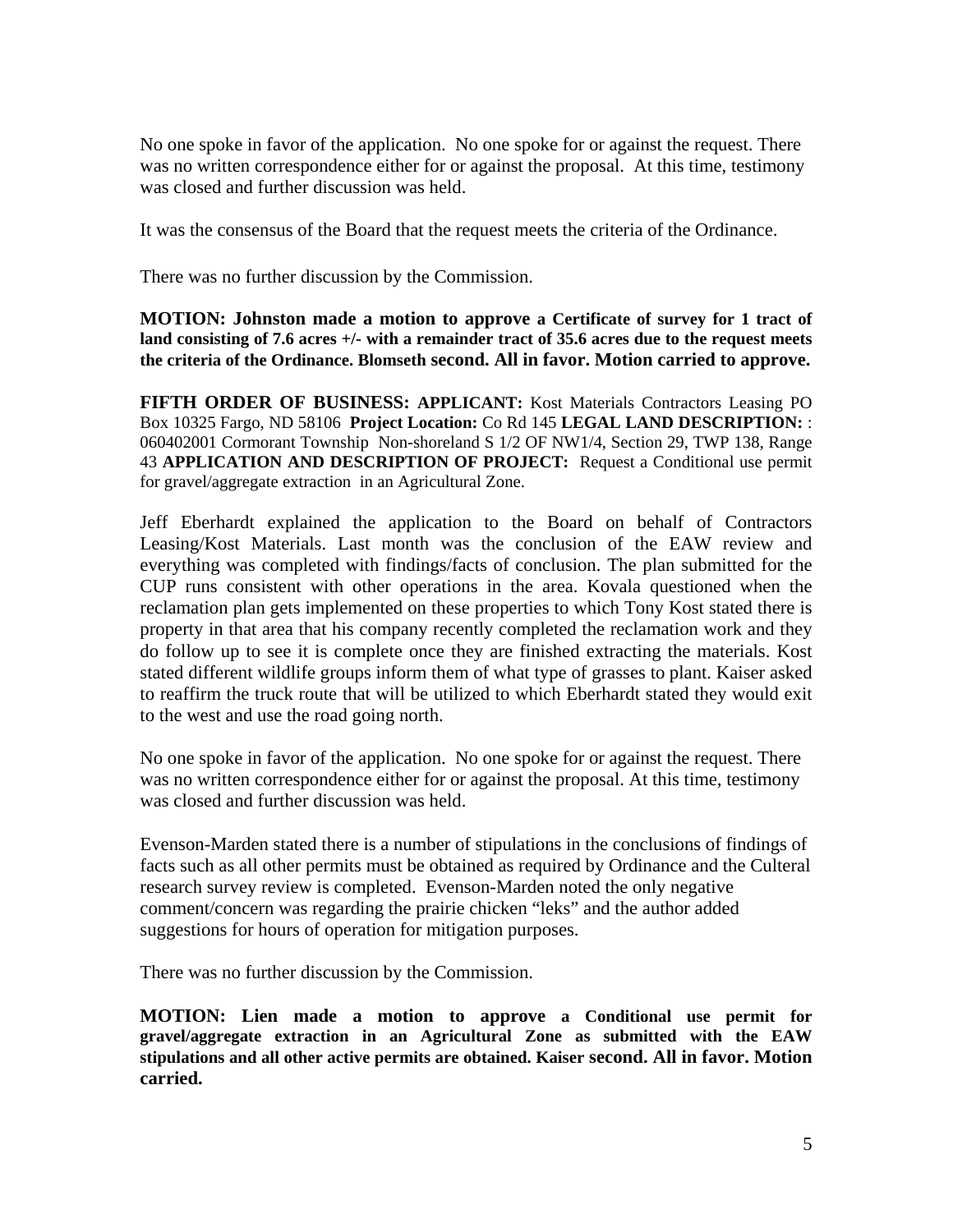No one spoke in favor of the application. No one spoke for or against the request. There was no written correspondence either for or against the proposal. At this time, testimony was closed and further discussion was held.

It was the consensus of the Board that the request meets the criteria of the Ordinance.

There was no further discussion by the Commission.

**MOTION: Johnston made a motion to approve a Certificate of survey for 1 tract of land consisting of 7.6 acres +/- with a remainder tract of 35.6 acres due to the request meets the criteria of the Ordinance. Blomseth second. All in favor. Motion carried to approve.** 

**FIFTH ORDER OF BUSINESS: APPLICANT:** Kost Materials Contractors Leasing PO Box 10325 Fargo, ND 58106 **Project Location:** Co Rd 145 **LEGAL LAND DESCRIPTION:** : 060402001 Cormorant Township Non-shoreland S 1/2 OF NW1/4, Section 29, TWP 138, Range 43 **APPLICATION AND DESCRIPTION OF PROJECT:** Request a Conditional use permit for gravel/aggregate extraction in an Agricultural Zone.

Jeff Eberhardt explained the application to the Board on behalf of Contractors Leasing/Kost Materials. Last month was the conclusion of the EAW review and everything was completed with findings/facts of conclusion. The plan submitted for the CUP runs consistent with other operations in the area. Kovala questioned when the reclamation plan gets implemented on these properties to which Tony Kost stated there is property in that area that his company recently completed the reclamation work and they do follow up to see it is complete once they are finished extracting the materials. Kost stated different wildlife groups inform them of what type of grasses to plant. Kaiser asked to reaffirm the truck route that will be utilized to which Eberhardt stated they would exit to the west and use the road going north.

No one spoke in favor of the application. No one spoke for or against the request. There was no written correspondence either for or against the proposal. At this time, testimony was closed and further discussion was held.

Evenson-Marden stated there is a number of stipulations in the conclusions of findings of facts such as all other permits must be obtained as required by Ordinance and the Culteral research survey review is completed. Evenson-Marden noted the only negative comment/concern was regarding the prairie chicken "leks" and the author added suggestions for hours of operation for mitigation purposes.

There was no further discussion by the Commission.

**MOTION: Lien made a motion to approve a Conditional use permit for gravel/aggregate extraction in an Agricultural Zone as submitted with the EAW stipulations and all other active permits are obtained. Kaiser second. All in favor. Motion carried.**